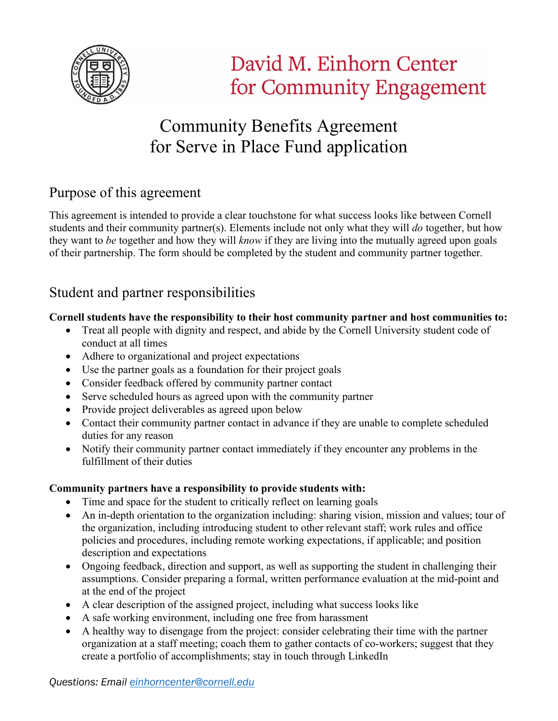

# Community Benefits Agreement for Serve in Place Fund application

## Purpose of this agreement

This agreement is intended to provide a clear touchstone for what success looks like between Cornell students and their community partner(s). Elements include not only what they will *do* together, but how they want to *be* together and how they will *know* if they are living into the mutually agreed upon goals of their partnership. The form should be completed by the student and community partner together.

## Student and partner responsibilities

#### **Cornell students have the responsibility to their host community partner and host communities to:**

- Treat all people with dignity and respect, and abide by the Cornell University student code of conduct at all times
- Adhere to organizational and project expectations
- Use the partner goals as a foundation for their project goals
- Consider feedback offered by community partner contact
- Serve scheduled hours as agreed upon with the community partner
- Provide project deliverables as agreed upon below
- Contact their community partner contact in advance if they are unable to complete scheduled duties for any reason
- Notify their community partner contact immediately if they encounter any problems in the fulfillment of their duties

#### **Community partners have a responsibility to provide students with:**

- Time and space for the student to critically reflect on learning goals
- An in-depth orientation to the organization including: sharing vision, mission and values; tour of the organization, including introducing student to other relevant staff; work rules and office policies and procedures, including remote working expectations, if applicable; and position description and expectations
- Ongoing feedback, direction and support, as well as supporting the student in challenging their assumptions. Consider preparing a formal, written performance evaluation at the mid-point and at the end of the project
- A clear description of the assigned project, including what success looks like
- A safe working environment, including one free from harassment
- A healthy way to disengage from the project: consider celebrating their time with the partner organization at a staff meeting; coach them to gather contacts of co-workers; suggest that they create a portfolio of accomplishments; stay in touch through LinkedIn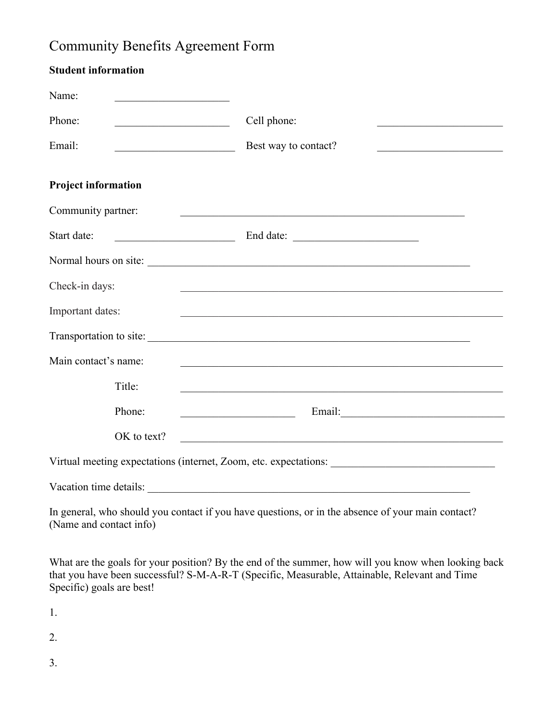## Community Benefits Agreement Form

| <b>Student information</b>                                       |                                                                                                                                                       |
|------------------------------------------------------------------|-------------------------------------------------------------------------------------------------------------------------------------------------------|
| Name:<br><u> 1990 - Johann Barbara, martxa alemani</u>           |                                                                                                                                                       |
| Phone:<br><u> 1950 - Johann Barbara, martin a</u>                | Cell phone:                                                                                                                                           |
| Email:                                                           | Best way to contact?<br><u> 1989 - Johann John Stone, mars et al. 1989 - John Stone, mars et al. 1989 - John Stone, mars et al. 1989 - John Stone</u> |
| <b>Project information</b>                                       |                                                                                                                                                       |
| Community partner:                                               | <u> 1989 - Johann Stein, marwolaethau a bhannaich an t-Albann an t-Albann an t-Albann an t-Albann an t-Albann an</u>                                  |
| Start date:                                                      |                                                                                                                                                       |
|                                                                  |                                                                                                                                                       |
| Check-in days:                                                   |                                                                                                                                                       |
| Important dates:                                                 | <u> 1989 - Johann Stoff, amerikansk politiker (d. 1989)</u>                                                                                           |
|                                                                  | Transportation to site:                                                                                                                               |
| Main contact's name:                                             |                                                                                                                                                       |
| Title:                                                           | <u> 1989 - Johann Stoff, amerikansk politiker (* 1908)</u>                                                                                            |
| Phone:                                                           |                                                                                                                                                       |
| OK to text?                                                      | <u> 1989 - Johann John Stein, mars an deus Amerikaansk kommunister (</u>                                                                              |
| Virtual meeting expectations (internet, Zoom, etc. expectations: |                                                                                                                                                       |
| Vacation time details:                                           | <u> 1980 - John Stein, Amerikaansk politiker (</u>                                                                                                    |
| (Name and contact info)                                          | In general, who should you contact if you have questions, or in the absence of your main contact?                                                     |
|                                                                  | What are the goals for your position? By the end of the summer, how will you know when looking back                                                   |

that you have been successful? S-M-A-R-T (Specific, Measurable, Attainable, Relevant and Time

1.

Specific) goals are best!

2.

3.